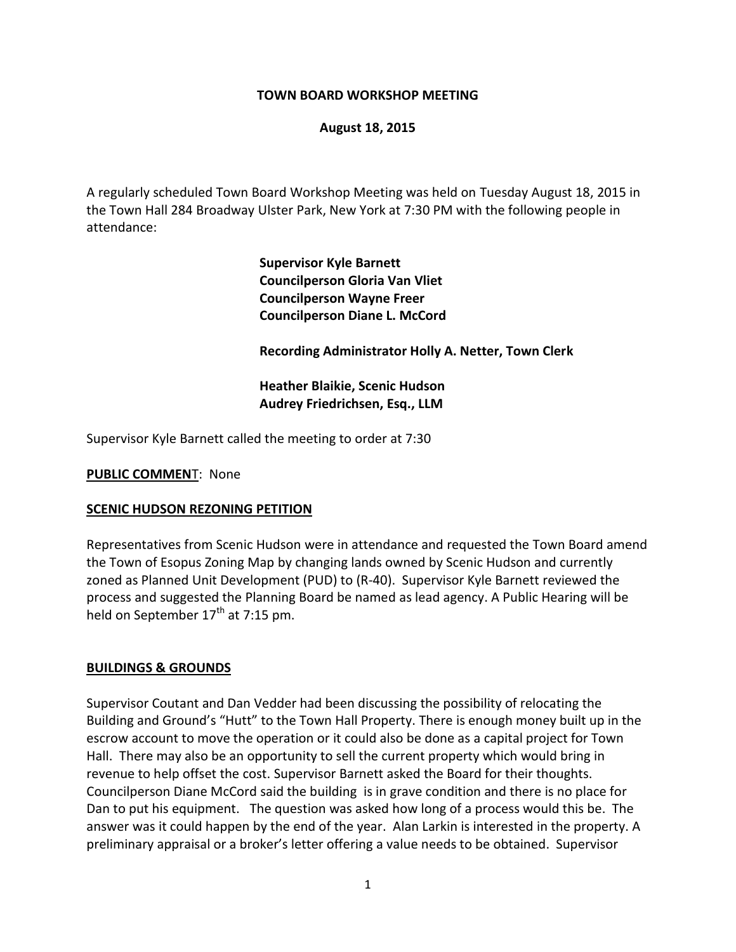#### **TOWN BOARD WORKSHOP MEETING**

#### **August 18, 2015**

A regularly scheduled Town Board Workshop Meeting was held on Tuesday August 18, 2015 in the Town Hall 284 Broadway Ulster Park, New York at 7:30 PM with the following people in attendance:

> **Supervisor Kyle Barnett Councilperson Gloria Van Vliet Councilperson Wayne Freer Councilperson Diane L. McCord**

**Recording Administrator Holly A. Netter, Town Clerk**

**Heather Blaikie, Scenic Hudson Audrey Friedrichsen, Esq., LLM** 

Supervisor Kyle Barnett called the meeting to order at 7:30

**PUBLIC COMMEN**T: None

#### **SCENIC HUDSON REZONING PETITION**

Representatives from Scenic Hudson were in attendance and requested the Town Board amend the Town of Esopus Zoning Map by changing lands owned by Scenic Hudson and currently zoned as Planned Unit Development (PUD) to (R-40). Supervisor Kyle Barnett reviewed the process and suggested the Planning Board be named as lead agency. A Public Hearing will be held on September  $17<sup>th</sup>$  at 7:15 pm.

#### **BUILDINGS & GROUNDS**

Supervisor Coutant and Dan Vedder had been discussing the possibility of relocating the Building and Ground's "Hutt" to the Town Hall Property. There is enough money built up in the escrow account to move the operation or it could also be done as a capital project for Town Hall. There may also be an opportunity to sell the current property which would bring in revenue to help offset the cost. Supervisor Barnett asked the Board for their thoughts. Councilperson Diane McCord said the building is in grave condition and there is no place for Dan to put his equipment. The question was asked how long of a process would this be. The answer was it could happen by the end of the year. Alan Larkin is interested in the property. A preliminary appraisal or a broker's letter offering a value needs to be obtained. Supervisor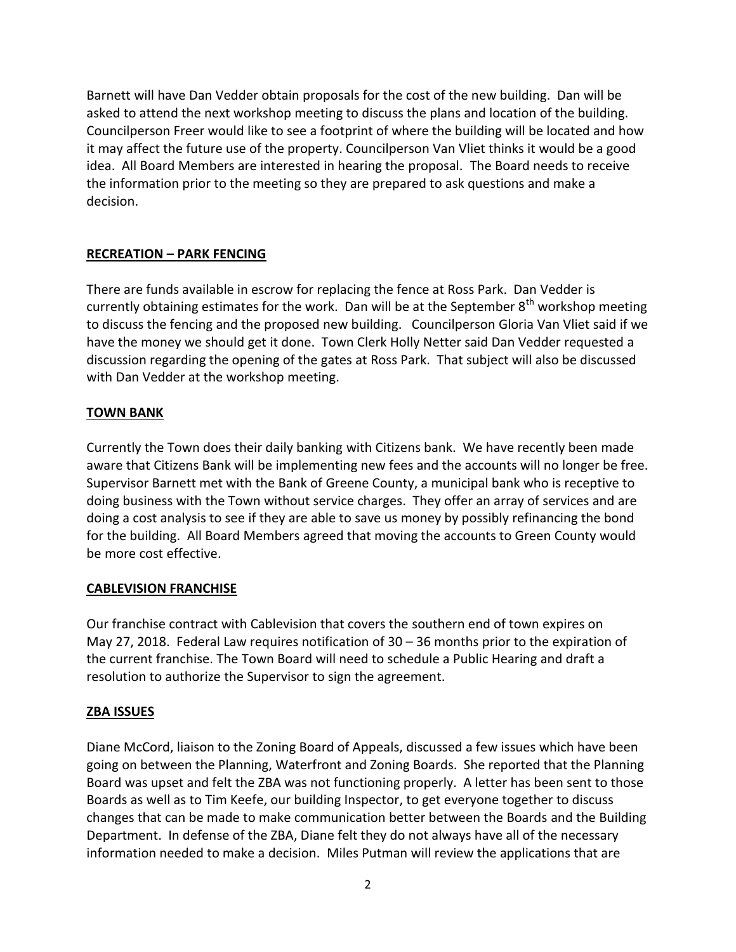Barnett will have Dan Vedder obtain proposals for the cost of the new building. Dan will be asked to attend the next workshop meeting to discuss the plans and location of the building. Councilperson Freer would like to see a footprint of where the building will be located and how it may affect the future use of the property. Councilperson Van Vliet thinks it would be a good idea. All Board Members are interested in hearing the proposal. The Board needs to receive the information prior to the meeting so they are prepared to ask questions and make a decision.

## **RECREATION – PARK FENCING**

There are funds available in escrow for replacing the fence at Ross Park. Dan Vedder is currently obtaining estimates for the work. Dan will be at the September 8<sup>th</sup> workshop meeting to discuss the fencing and the proposed new building. Councilperson Gloria Van Vliet said if we have the money we should get it done. Town Clerk Holly Netter said Dan Vedder requested a discussion regarding the opening of the gates at Ross Park. That subject will also be discussed with Dan Vedder at the workshop meeting.

## **TOWN BANK**

Currently the Town does their daily banking with Citizens bank. We have recently been made aware that Citizens Bank will be implementing new fees and the accounts will no longer be free. Supervisor Barnett met with the Bank of Greene County, a municipal bank who is receptive to doing business with the Town without service charges. They offer an array of services and are doing a cost analysis to see if they are able to save us money by possibly refinancing the bond for the building. All Board Members agreed that moving the accounts to Green County would be more cost effective.

### **CABLEVISION FRANCHISE**

Our franchise contract with Cablevision that covers the southern end of town expires on May 27, 2018. Federal Law requires notification of 30 – 36 months prior to the expiration of the current franchise. The Town Board will need to schedule a Public Hearing and draft a resolution to authorize the Supervisor to sign the agreement.

### **ZBA ISSUES**

Diane McCord, liaison to the Zoning Board of Appeals, discussed a few issues which have been going on between the Planning, Waterfront and Zoning Boards. She reported that the Planning Board was upset and felt the ZBA was not functioning properly. A letter has been sent to those Boards as well as to Tim Keefe, our building Inspector, to get everyone together to discuss changes that can be made to make communication better between the Boards and the Building Department. In defense of the ZBA, Diane felt they do not always have all of the necessary information needed to make a decision. Miles Putman will review the applications that are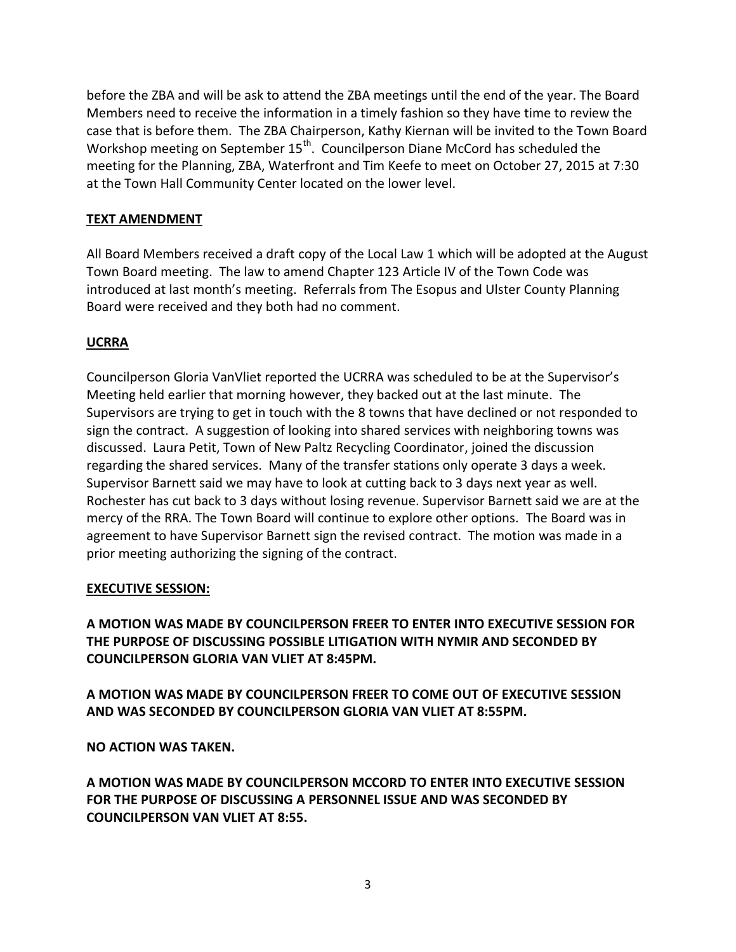before the ZBA and will be ask to attend the ZBA meetings until the end of the year. The Board Members need to receive the information in a timely fashion so they have time to review the case that is before them. The ZBA Chairperson, Kathy Kiernan will be invited to the Town Board Workshop meeting on September 15<sup>th</sup>. Councilperson Diane McCord has scheduled the meeting for the Planning, ZBA, Waterfront and Tim Keefe to meet on October 27, 2015 at 7:30 at the Town Hall Community Center located on the lower level.

# **TEXT AMENDMENT**

All Board Members received a draft copy of the Local Law 1 which will be adopted at the August Town Board meeting. The law to amend Chapter 123 Article IV of the Town Code was introduced at last month's meeting. Referrals from The Esopus and Ulster County Planning Board were received and they both had no comment.

# **UCRRA**

Councilperson Gloria VanVliet reported the UCRRA was scheduled to be at the Supervisor's Meeting held earlier that morning however, they backed out at the last minute. The Supervisors are trying to get in touch with the 8 towns that have declined or not responded to sign the contract. A suggestion of looking into shared services with neighboring towns was discussed. Laura Petit, Town of New Paltz Recycling Coordinator, joined the discussion regarding the shared services. Many of the transfer stations only operate 3 days a week. Supervisor Barnett said we may have to look at cutting back to 3 days next year as well. Rochester has cut back to 3 days without losing revenue. Supervisor Barnett said we are at the mercy of the RRA. The Town Board will continue to explore other options. The Board was in agreement to have Supervisor Barnett sign the revised contract. The motion was made in a prior meeting authorizing the signing of the contract.

## **EXECUTIVE SESSION:**

**A MOTION WAS MADE BY COUNCILPERSON FREER TO ENTER INTO EXECUTIVE SESSION FOR THE PURPOSE OF DISCUSSING POSSIBLE LITIGATION WITH NYMIR AND SECONDED BY COUNCILPERSON GLORIA VAN VLIET AT 8:45PM.**

**A MOTION WAS MADE BY COUNCILPERSON FREER TO COME OUT OF EXECUTIVE SESSION AND WAS SECONDED BY COUNCILPERSON GLORIA VAN VLIET AT 8:55PM.**

**NO ACTION WAS TAKEN.**

**A MOTION WAS MADE BY COUNCILPERSON MCCORD TO ENTER INTO EXECUTIVE SESSION FOR THE PURPOSE OF DISCUSSING A PERSONNEL ISSUE AND WAS SECONDED BY COUNCILPERSON VAN VLIET AT 8:55.**